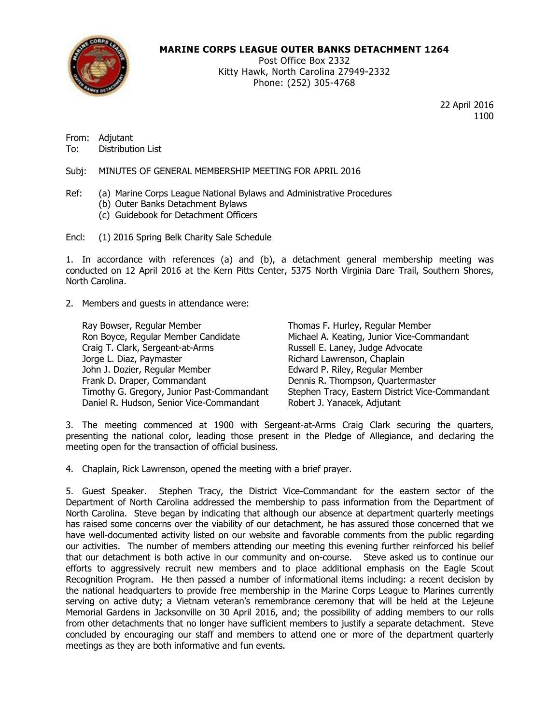

# **MARINE CORPS LEAGUE OUTER BANKS DETACHMENT 1264**

Post Office Box 2332 Kitty Hawk, North Carolina 27949-2332 Phone: (252) 305-4768

> 22 April 2016 1100

From: Adjutant

To: Distribution List

Subj: MINUTES OF GENERAL MEMBERSHIP MEETING FOR APRIL 2016

- Ref: (a) Marine Corps League National Bylaws and Administrative Procedures
	- (b) Outer Banks Detachment Bylaws
	- (c) Guidebook for Detachment Officers

Encl: (1) 2016 Spring Belk Charity Sale Schedule

1. In accordance with references (a) and (b), a detachment general membership meeting was conducted on 12 April 2016 at the Kern Pitts Center, 5375 North Virginia Dare Trail, Southern Shores, North Carolina.

## 2. Members and guests in attendance were:

| Ray Bowser, Regular Member                 | Thomas F. Hurley, Regular Member                |
|--------------------------------------------|-------------------------------------------------|
| Ron Boyce, Regular Member Candidate        | Michael A. Keating, Junior Vice-Commandant      |
| Craig T. Clark, Sergeant-at-Arms           | Russell E. Laney, Judge Advocate                |
| Jorge L. Diaz, Paymaster                   | Richard Lawrenson, Chaplain                     |
| John J. Dozier, Regular Member             | Edward P. Riley, Regular Member                 |
| Frank D. Draper, Commandant                | Dennis R. Thompson, Quartermaster               |
| Timothy G. Gregory, Junior Past-Commandant | Stephen Tracy, Eastern District Vice-Commandant |
| Daniel R. Hudson, Senior Vice-Commandant   | Robert J. Yanacek, Adjutant                     |

3. The meeting commenced at 1900 with Sergeant-at-Arms Craig Clark securing the quarters, presenting the national color, leading those present in the Pledge of Allegiance, and declaring the meeting open for the transaction of official business.

4. Chaplain, Rick Lawrenson, opened the meeting with a brief prayer.

5. Guest Speaker. Stephen Tracy, the District Vice-Commandant for the eastern sector of the Department of North Carolina addressed the membership to pass information from the Department of North Carolina. Steve began by indicating that although our absence at department quarterly meetings has raised some concerns over the viability of our detachment, he has assured those concerned that we have well-documented activity listed on our website and favorable comments from the public regarding our activities. The number of members attending our meeting this evening further reinforced his belief that our detachment is both active in our community and on-course. Steve asked us to continue our efforts to aggressively recruit new members and to place additional emphasis on the Eagle Scout Recognition Program. He then passed a number of informational items including: a recent decision by the national headquarters to provide free membership in the Marine Corps League to Marines currently serving on active duty; a Vietnam veteran's remembrance ceremony that will be held at the Lejeune Memorial Gardens in Jacksonville on 30 April 2016, and; the possibility of adding members to our rolls from other detachments that no longer have sufficient members to justify a separate detachment. Steve concluded by encouraging our staff and members to attend one or more of the department quarterly meetings as they are both informative and fun events.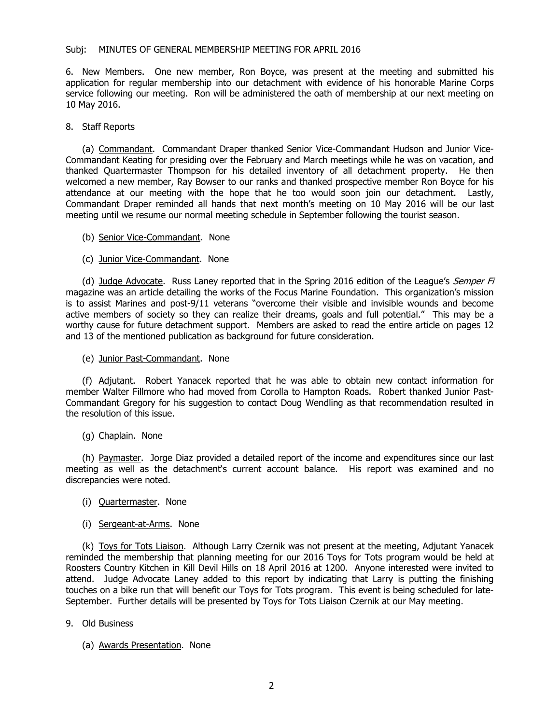6. New Members. One new member, Ron Boyce, was present at the meeting and submitted his application for regular membership into our detachment with evidence of his honorable Marine Corps service following our meeting. Ron will be administered the oath of membership at our next meeting on 10 May 2016.

## 8. Staff Reports

(a) Commandant. Commandant Draper thanked Senior Vice-Commandant Hudson and Junior Vice-Commandant Keating for presiding over the February and March meetings while he was on vacation, and thanked Quartermaster Thompson for his detailed inventory of all detachment property. He then welcomed a new member, Ray Bowser to our ranks and thanked prospective member Ron Boyce for his attendance at our meeting with the hope that he too would soon join our detachment. Lastly, Commandant Draper reminded all hands that next month's meeting on 10 May 2016 will be our last meeting until we resume our normal meeting schedule in September following the tourist season.

- (b) Senior Vice-Commandant. None
- (c) Junior Vice-Commandant. None

(d) Judge Advocate. Russ Laney reported that in the Spring 2016 edition of the League's Semper Fi magazine was an article detailing the works of the Focus Marine Foundation. This organization's mission is to assist Marines and post-9/11 veterans "overcome their visible and invisible wounds and become active members of society so they can realize their dreams, goals and full potential." This may be a worthy cause for future detachment support. Members are asked to read the entire article on pages 12 and 13 of the mentioned publication as background for future consideration.

(e) Junior Past-Commandant. None

(f) Adjutant. Robert Yanacek reported that he was able to obtain new contact information for member Walter Fillmore who had moved from Corolla to Hampton Roads. Robert thanked Junior Past-Commandant Gregory for his suggestion to contact Doug Wendling as that recommendation resulted in the resolution of this issue.

(g) Chaplain. None

(h) Paymaster. Jorge Diaz provided a detailed report of the income and expenditures since our last meeting as well as the detachment's current account balance. His report was examined and no discrepancies were noted.

- (i) Quartermaster. None
- (i) Sergeant-at-Arms. None

(k) Toys for Tots Liaison. Although Larry Czernik was not present at the meeting, Adjutant Yanacek reminded the membership that planning meeting for our 2016 Toys for Tots program would be held at Roosters Country Kitchen in Kill Devil Hills on 18 April 2016 at 1200. Anyone interested were invited to attend. Judge Advocate Laney added to this report by indicating that Larry is putting the finishing touches on a bike run that will benefit our Toys for Tots program. This event is being scheduled for late-September. Further details will be presented by Toys for Tots Liaison Czernik at our May meeting.

- 9. Old Business
	- (a) Awards Presentation. None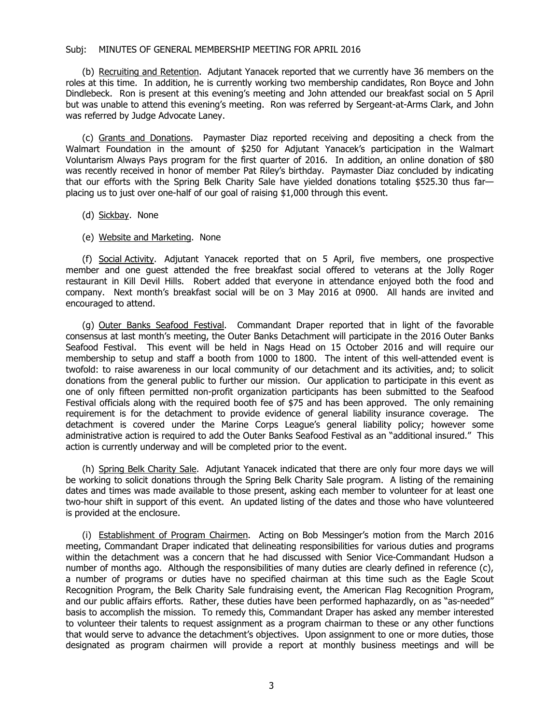(b) Recruiting and Retention. Adjutant Yanacek reported that we currently have 36 members on the roles at this time. In addition, he is currently working two membership candidates, Ron Boyce and John Dindlebeck. Ron is present at this evening's meeting and John attended our breakfast social on 5 April but was unable to attend this evening's meeting. Ron was referred by Sergeant-at-Arms Clark, and John was referred by Judge Advocate Laney.

(c) Grants and Donations. Paymaster Diaz reported receiving and depositing a check from the Walmart Foundation in the amount of \$250 for Adjutant Yanacek's participation in the Walmart Voluntarism Always Pays program for the first quarter of 2016. In addition, an online donation of \$80 was recently received in honor of member Pat Riley's birthday. Paymaster Diaz concluded by indicating that our efforts with the Spring Belk Charity Sale have yielded donations totaling \$525.30 thus far placing us to just over one-half of our goal of raising \$1,000 through this event.

- (d) Sickbay. None
- (e) Website and Marketing. None

(f) Social Activity. Adjutant Yanacek reported that on 5 April, five members, one prospective member and one guest attended the free breakfast social offered to veterans at the Jolly Roger restaurant in Kill Devil Hills. Robert added that everyone in attendance enjoyed both the food and company. Next month's breakfast social will be on 3 May 2016 at 0900. All hands are invited and encouraged to attend.

(g) Outer Banks Seafood Festival. Commandant Draper reported that in light of the favorable consensus at last month's meeting, the Outer Banks Detachment will participate in the 2016 Outer Banks Seafood Festival. This event will be held in Nags Head on 15 October 2016 and will require our membership to setup and staff a booth from 1000 to 1800. The intent of this well-attended event is twofold: to raise awareness in our local community of our detachment and its activities, and; to solicit donations from the general public to further our mission. Our application to participate in this event as one of only fifteen permitted non-profit organization participants has been submitted to the Seafood Festival officials along with the required booth fee of \$75 and has been approved. The only remaining requirement is for the detachment to provide evidence of general liability insurance coverage. The detachment is covered under the Marine Corps League's general liability policy; however some administrative action is required to add the Outer Banks Seafood Festival as an "additional insured." This action is currently underway and will be completed prior to the event.

(h) Spring Belk Charity Sale. Adjutant Yanacek indicated that there are only four more days we will be working to solicit donations through the Spring Belk Charity Sale program. A listing of the remaining dates and times was made available to those present, asking each member to volunteer for at least one two-hour shift in support of this event. An updated listing of the dates and those who have volunteered is provided at the enclosure.

(i) Establishment of Program Chairmen. Acting on Bob Messinger's motion from the March 2016 meeting, Commandant Draper indicated that delineating responsibilities for various duties and programs within the detachment was a concern that he had discussed with Senior Vice-Commandant Hudson a number of months ago. Although the responsibilities of many duties are clearly defined in reference (c), a number of programs or duties have no specified chairman at this time such as the Eagle Scout Recognition Program, the Belk Charity Sale fundraising event, the American Flag Recognition Program, and our public affairs efforts. Rather, these duties have been performed haphazardly, on as "as-needed" basis to accomplish the mission. To remedy this, Commandant Draper has asked any member interested to volunteer their talents to request assignment as a program chairman to these or any other functions that would serve to advance the detachment's objectives. Upon assignment to one or more duties, those designated as program chairmen will provide a report at monthly business meetings and will be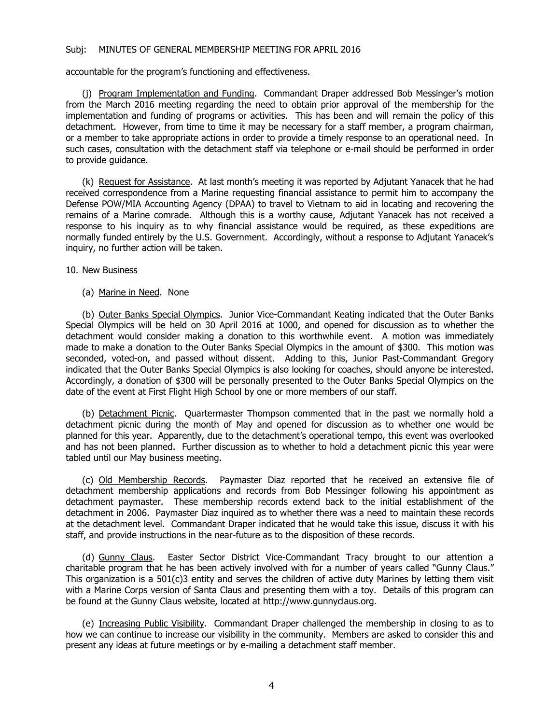accountable for the program's functioning and effectiveness.

(j) Program Implementation and Funding. Commandant Draper addressed Bob Messinger's motion from the March 2016 meeting regarding the need to obtain prior approval of the membership for the implementation and funding of programs or activities. This has been and will remain the policy of this detachment. However, from time to time it may be necessary for a staff member, a program chairman, or a member to take appropriate actions in order to provide a timely response to an operational need. In such cases, consultation with the detachment staff via telephone or e-mail should be performed in order to provide guidance.

(k) Request for Assistance. At last month's meeting it was reported by Adjutant Yanacek that he had received correspondence from a Marine requesting financial assistance to permit him to accompany the Defense POW/MIA Accounting Agency (DPAA) to travel to Vietnam to aid in locating and recovering the remains of a Marine comrade. Although this is a worthy cause, Adjutant Yanacek has not received a response to his inquiry as to why financial assistance would be required, as these expeditions are normally funded entirely by the U.S. Government. Accordingly, without a response to Adjutant Yanacek's inquiry, no further action will be taken.

10. New Business

(a) Marine in Need. None

(b) Outer Banks Special Olympics. Junior Vice-Commandant Keating indicated that the Outer Banks Special Olympics will be held on 30 April 2016 at 1000, and opened for discussion as to whether the detachment would consider making a donation to this worthwhile event. A motion was immediately made to make a donation to the Outer Banks Special Olympics in the amount of \$300. This motion was seconded, voted-on, and passed without dissent. Adding to this, Junior Past-Commandant Gregory indicated that the Outer Banks Special Olympics is also looking for coaches, should anyone be interested. Accordingly, a donation of \$300 will be personally presented to the Outer Banks Special Olympics on the date of the event at First Flight High School by one or more members of our staff.

(b) Detachment Picnic. Quartermaster Thompson commented that in the past we normally hold a detachment picnic during the month of May and opened for discussion as to whether one would be planned for this year. Apparently, due to the detachment's operational tempo, this event was overlooked and has not been planned. Further discussion as to whether to hold a detachment picnic this year were tabled until our May business meeting.

(c) Old Membership Records. Paymaster Diaz reported that he received an extensive file of detachment membership applications and records from Bob Messinger following his appointment as detachment paymaster. These membership records extend back to the initial establishment of the detachment in 2006. Paymaster Diaz inquired as to whether there was a need to maintain these records at the detachment level. Commandant Draper indicated that he would take this issue, discuss it with his staff, and provide instructions in the near-future as to the disposition of these records.

(d) Gunny Claus. Easter Sector District Vice-Commandant Tracy brought to our attention a charitable program that he has been actively involved with for a number of years called "Gunny Claus." This organization is a  $501(c)3$  entity and serves the children of active duty Marines by letting them visit with a Marine Corps version of Santa Claus and presenting them with a toy. Details of this program can be found at the Gunny Claus website, located at http://www.gunnyclaus.org.

(e) Increasing Public Visibility. Commandant Draper challenged the membership in closing to as to how we can continue to increase our visibility in the community. Members are asked to consider this and present any ideas at future meetings or by e-mailing a detachment staff member.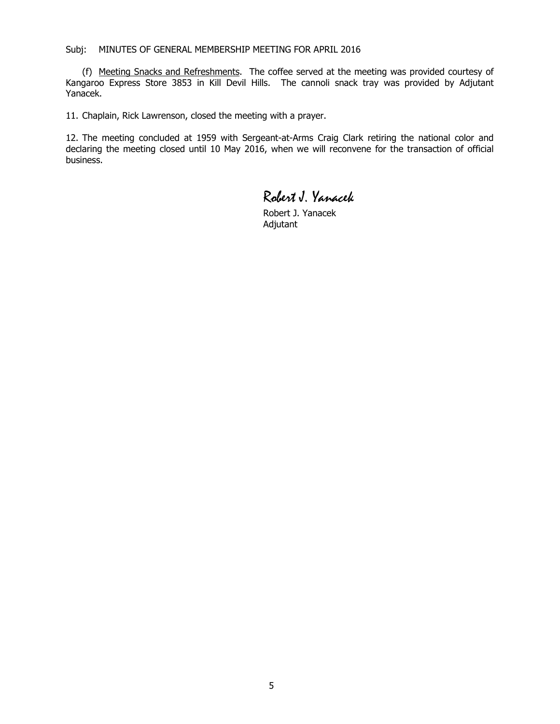(f) Meeting Snacks and Refreshments. The coffee served at the meeting was provided courtesy of Kangaroo Express Store 3853 in Kill Devil Hills. The cannoli snack tray was provided by Adjutant Yanacek.

11. Chaplain, Rick Lawrenson, closed the meeting with a prayer.

12. The meeting concluded at 1959 with Sergeant-at-Arms Craig Clark retiring the national color and declaring the meeting closed until 10 May 2016, when we will reconvene for the transaction of official business.

# Robert J. Yanacek

Robert J. Yanacek Adjutant